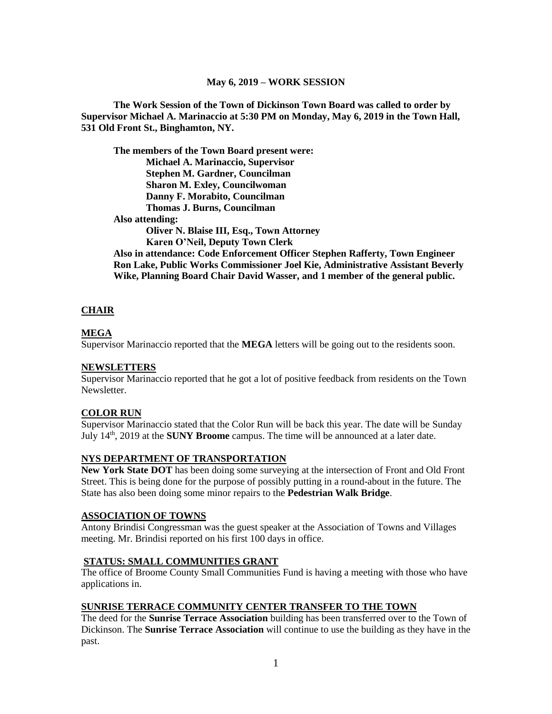### **May 6, 2019 – WORK SESSION**

**The Work Session of the Town of Dickinson Town Board was called to order by Supervisor Michael A. Marinaccio at 5:30 PM on Monday, May 6, 2019 in the Town Hall, 531 Old Front St., Binghamton, NY.**

**The members of the Town Board present were: Michael A. Marinaccio, Supervisor Stephen M. Gardner, Councilman Sharon M. Exley, Councilwoman Danny F. Morabito, Councilman Thomas J. Burns, Councilman Also attending: Oliver N. Blaise III, Esq., Town Attorney Karen O'Neil, Deputy Town Clerk Also in attendance: Code Enforcement Officer Stephen Rafferty, Town Engineer Ron Lake, Public Works Commissioner Joel Kie, Administrative Assistant Beverly Wike, Planning Board Chair David Wasser, and 1 member of the general public.**

## **CHAIR**

### **MEGA**

Supervisor Marinaccio reported that the **MEGA** letters will be going out to the residents soon.

### **NEWSLETTERS**

Supervisor Marinaccio reported that he got a lot of positive feedback from residents on the Town Newsletter.

#### **COLOR RUN**

Supervisor Marinaccio stated that the Color Run will be back this year. The date will be Sunday July 14th, 2019 at the **SUNY Broome** campus. The time will be announced at a later date.

### **NYS DEPARTMENT OF TRANSPORTATION**

**New York State DOT** has been doing some surveying at the intersection of Front and Old Front Street. This is being done for the purpose of possibly putting in a round-about in the future. The State has also been doing some minor repairs to the **Pedestrian Walk Bridge**.

#### **ASSOCIATION OF TOWNS**

Antony Brindisi Congressman was the guest speaker at the Association of Towns and Villages meeting. Mr. Brindisi reported on his first 100 days in office.

### **STATUS: SMALL COMMUNITIES GRANT**

The office of Broome County Small Communities Fund is having a meeting with those who have applications in.

## **SUNRISE TERRACE COMMUNITY CENTER TRANSFER TO THE TOWN**

The deed for the **Sunrise Terrace Association** building has been transferred over to the Town of Dickinson. The **Sunrise Terrace Association** will continue to use the building as they have in the past.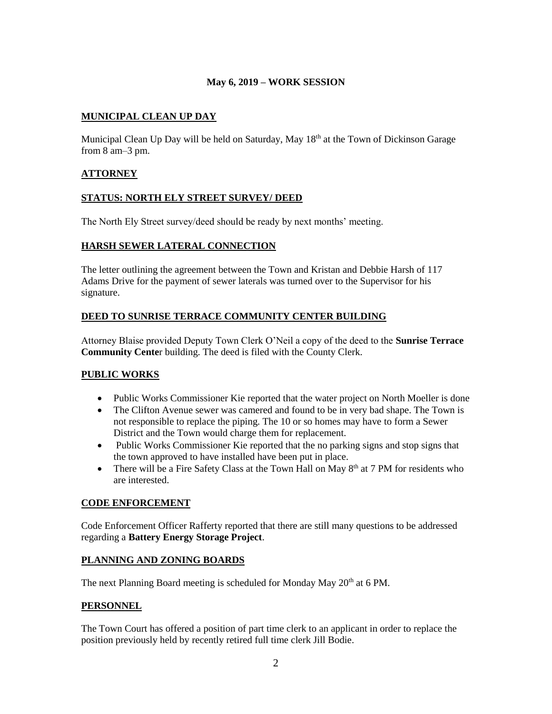## **May 6, 2019 – WORK SESSION**

# **MUNICIPAL CLEAN UP DAY**

Municipal Clean Up Day will be held on Saturday, May 18<sup>th</sup> at the Town of Dickinson Garage from 8 am–3 pm.

## **ATTORNEY**

### **STATUS: NORTH ELY STREET SURVEY/ DEED**

The North Ely Street survey/deed should be ready by next months' meeting.

## **HARSH SEWER LATERAL CONNECTION**

The letter outlining the agreement between the Town and Kristan and Debbie Harsh of 117 Adams Drive for the payment of sewer laterals was turned over to the Supervisor for his signature.

## **DEED TO SUNRISE TERRACE COMMUNITY CENTER BUILDING**

Attorney Blaise provided Deputy Town Clerk O'Neil a copy of the deed to the **Sunrise Terrace Community Cente**r building. The deed is filed with the County Clerk.

## **PUBLIC WORKS**

- Public Works Commissioner Kie reported that the water project on North Moeller is done
- The Clifton Avenue sewer was camered and found to be in very bad shape. The Town is not responsible to replace the piping. The 10 or so homes may have to form a Sewer District and the Town would charge them for replacement.
- Public Works Commissioner Kie reported that the no parking signs and stop signs that the town approved to have installed have been put in place.
- There will be a Fire Safety Class at the Town Hall on May  $8<sup>th</sup>$  at 7 PM for residents who are interested.

## **CODE ENFORCEMENT**

Code Enforcement Officer Rafferty reported that there are still many questions to be addressed regarding a **Battery Energy Storage Project**.

## **PLANNING AND ZONING BOARDS**

The next Planning Board meeting is scheduled for Monday May 20<sup>th</sup> at 6 PM.

### **PERSONNEL**

The Town Court has offered a position of part time clerk to an applicant in order to replace the position previously held by recently retired full time clerk Jill Bodie.